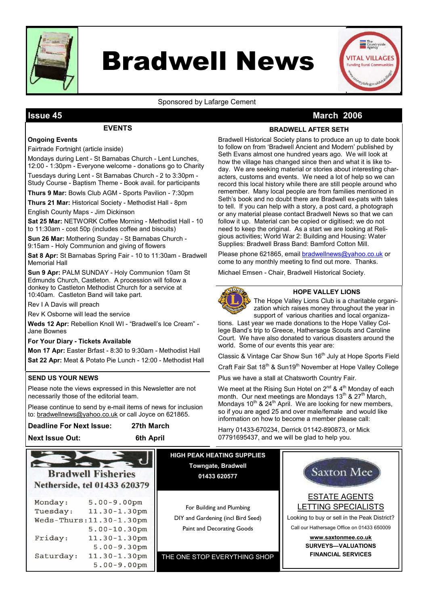

# Bradwell News



### Sponsored by Lafarge Cement

### Issue 45 March 2006

### **FVENTS**

### BRADWELL AFTER SETH

### Ongoing Events

Fairtrade Fortnight (article inside)

Mondays during Lent - St Barnabas Church - Lent Lunches, 12:00 - 1:30pm - Everyone welcome - donations go to Charity

Tuesdays during Lent - St Barnabas Church - 2 to 3:30pm - Study Course - Baptism Theme - Book avail. for participants

Thurs 9 Mar: Bowls Club AGM - Sports Pavilion - 7:30pm

Thurs 21 Mar: Historical Society - Methodist Hall - 8pm

English County Maps - Jim Dickinson

Sat 25 Mar: NETWORK Coffee Morning - Methodist Hall - 10 to 11:30am - cost 50p (includes coffee and biscuits)

Sun 26 Mar: Mothering Sunday - St Barnabas Church - 9:15am - Holy Communion and giving of flowers

Sat 8 Apr: St Barnabas Spring Fair - 10 to 11:30am - Bradwell Memorial Hall

Sun 9 Apr: PALM SUNDAY - Holy Communion 10am St Edmunds Church, Castleton. A procession will follow a donkey to Castleton Methodist Church for a service at 10:40am. Castleton Band will take part.

Rev I A Davis will preach

Rev K Osborne will lead the service

Weds 12 Apr: Rebellion Knoll WI - "Bradwell's Ice Cream" - Jane Bownes

#### For Your Diary - Tickets Available

Mon 17 Apr: Easter Brfast - 8:30 to 9:30am - Methodist Hall Sat 22 Apr: Meat & Potato Pie Lunch - 12:00 - Methodist Hall

### SEND US YOUR NEWS

Please note the views expressed in this Newsletter are not necessarily those of the editorial team.

Please continue to send by e-mail items of news for inclusion to: bradwellnews@yahoo.co.uk or call Joyce on 621865.

| <b>Deadline For Next Issue:</b> | 27th March |
|---------------------------------|------------|
|                                 |            |

Next Issue Out: 6th April

Bradwell Historical Society plans to produce an up to date book to follow on from 'Bradwell Ancient and Modern' published by Seth Evans almost one hundred years ago. We will look at how the village has changed since then and what it is like today. We are seeking material or stories about interesting characters, customs and events. We need a lot of help so we can record this local history while there are still people around who remember. Many local people are from families mentioned in Seth's book and no doubt there are Bradwell ex-pats with tales to tell. If you can help with a story, a post card, a photograph or any material please contact Bradwell News so that we can follow it up. Material can be copied or digitised; we do not need to keep the original. As a start we are looking at Religious activities; World War 2: Building and Housing: Water Supplies: Bradwell Brass Band: Bamford Cotton Mill.

Please phone 621865, email bradwellnews@yahoo.co.uk or come to any monthly meeting to find out more. Thanks.

Michael Emsen - Chair, Bradwell Historical Society.



### HOPE VALLEY LIONS

The Hope Valley Lions Club is a charitable organization which raises money throughout the year in support of various charities and local organiza-

tions. Last year we made donations to the Hope Valley College Band's trip to Greece, Hathersage Scouts and Caroline Court. We have also donated to various disasters around the world. Some of our events this year are:

Classic & Vintage Car Show Sun 16<sup>th</sup> July at Hope Sports Field

Craft Fair Sat 18<sup>th</sup> & Sun19<sup>th</sup> November at Hope Valley College

Plus we have a stall at Chatsworth Country Fair.

We meet at the Rising Sun Hotel on  $2^{nd}$  & 4<sup>th</sup> Monday of each month. Our next meetings are Mondays 13<sup>th</sup> & 27<sup>th</sup> March, Mondays  $10^{th}$  &  $24^{th}$  April. We are looking for new members, so if you are aged 25 and over male/female and would like information on how to become a member please call:

Harry 01433-670234, Derrick 01142-890873, or Mick 07791695437, and we will be glad to help you.

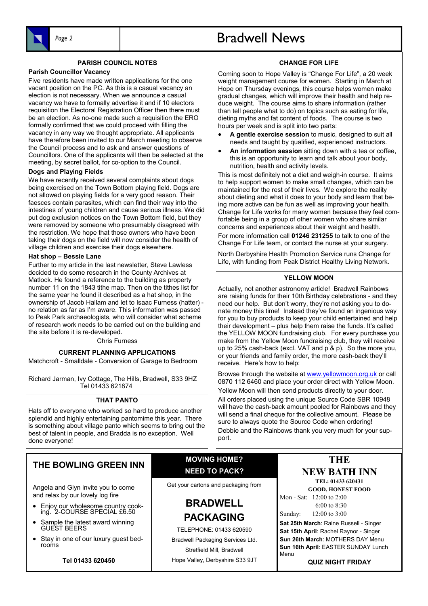

# Page 2 and 1 Bradwell News

### PARISH COUNCIL NOTES

#### Parish Councillor Vacancy

Five residents have made written applications for the one vacant position on the PC. As this is a casual vacancy an election is not necessary. When we announce a casual vacancy we have to formally advertise it and if 10 electors requisition the Electoral Registration Officer then there must be an election. As no-one made such a requisition the ERO formally confirmed that we could proceed with filling the vacancy in any way we thought appropriate. All applicants have therefore been invited to our March meeting to observe the Council process and to ask and answer questions of Councillors. One of the applicants will then be selected at the meeting, by secret ballot, for co-option to the Council.

### Dogs and Playing Fields

We have recently received several complaints about dogs being exercised on the Town Bottom playing field. Dogs are not allowed on playing fields for a very good reason. Their faesces contain parasites, which can find their way into the intestines of young children and cause serious illness. We did put dog exclusion notices on the Town Bottom field, but they were removed by someone who presumably disagreed with the restriction. We hope that those owners who have been taking their dogs on the field will now consider the health of village children and exercise their dogs elsewhere.

### Hat shop – Bessie Lane

Further to my article in the last newsletter, Steve Lawless decided to do some research in the County Archives at Matlock. He found a reference to the building as property number 11 on the 1843 tithe map. Then on the tithes list for the same year he found it described as a hat shop, in the ownership of Jacob Hallam and let to Isaac Furness (hatter) no relation as far as I'm aware. This information was passed to Peak Park archaeologists, who will consider what scheme of research work needs to be carried out on the building and the site before it is re-developed.

Chris Furness

### CURRENT PLANNING APPLICATIONS

Matchcroft - Smalldale - Conversion of Garage to Bedroom

Richard Jarman, Ivy Cottage, The Hills, Bradwell, S33 9HZ Tel 01433 621874

### THAT PANTO

Hats off to everyone who worked so hard to produce another splendid and highly entertaining pantomime this year. There is something about village panto which seems to bring out the best of talent in people, and Bradda is no exception. Well done everyone!

### CHANGE FOR LIFE

Coming soon to Hope Valley is "Change For Life", a 20 week weight management course for women. Starting in March at Hope on Thursday evenings, this course helps women make gradual changes, which will improve their health and help reduce weight. The course aims to share information (rather than tell people what to do) on topics such as eating for life, dieting myths and fat content of foods. The course is two hours per week and is split into two parts:

- A gentle exercise session to music, designed to suit all needs and taught by qualified, experienced instructors.
- An information session sitting down with a tea or coffee, this is an opportunity to learn and talk about your body, nutrition, health and activity levels.

This is most definitely not a diet and weigh-in course. It aims to help support women to make small changes, which can be maintained for the rest of their lives. We explore the reality about dieting and what it does to your body and learn that being more active can be fun as well as improving your health. Change for Life works for many women because they feel comfortable being in a group of other women who share similar concerns and experiences about their weight and health. For more information call 01246 231255 to talk to one of the Change For Life team, or contact the nurse at your surgery.

North Derbyshire Health Promotion Service runs Change for Life, with funding from Peak District Healthy Living Network.

### YELLOW MOON

Actually, not another astronomy article! Bradwell Rainbows are raising funds for their 10th Birthday celebrations - and they need our help. But don't worry, they're not asking you to donate money this time! Instead they've found an ingenious way for you to buy products to keep your child entertained and help their development – plus help them raise the funds. It's called the YELLOW MOON fundraising club. For every purchase you make from the Yellow Moon fundraising club, they will receive up to 25% cash-back (excl. VAT and p & p). So the more you, or your friends and family order, the more cash-back they'll receive. Here's how to help:

Browse through the website at www.yellowmoon.org.uk or call 0870 112 6460 and place your order direct with Yellow Moon.

Yellow Moon will then send products directly to your door. All orders placed using the unique Source Code SBR 10948 will have the cash-back amount pooled for Rainbows and they will send a final cheque for the collective amount. Please be sure to always quote the Source Code when ordering! Debbie and the Rainbows thank you very much for your support.

### THE BOWLING GREEN INN

Angela and Glyn invite you to come and relax by our lovely log fire

- Enjoy our wholesome country cooking. 2-COURSE SPECIAL £6.50
- Sample the latest award winning GUEST BEERS
- Stay in one of our luxury guest bedrooms

Tel 01433 620450

### MOVING HOME? NEED TO PACK?

Get your cartons and packaging from

### BRADWELL PACKAGING

TELEPHONE: 01433 620590 Bradwell Packaging Services Ltd. Stretfield Mill, Bradwell Hope Valley, Derbyshire S33 9JT

### **THE**

### NEW BATH INN TEL: 01433 620431

GOOD, HONEST FOOD Mon - Sat: 12:00 to 2:00

 6:00 to 8:30 Sunday: 12:00 to 3:00

Sat 25th March: Raine Russell - Singer Sat 15th April: Rachel Raynor - Singer Sun 26th March: MOTHERS DAY Menu Sun 16th April: EASTER SUNDAY Lunch Menu

QUIZ NIGHT FRIDAY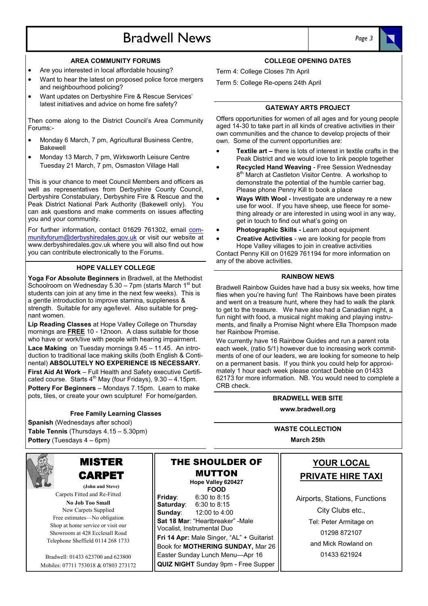## Bradwell News and Page 3



- Are you interested in local affordable housing?
- Want to hear the latest on proposed police force mergers and neighbourhood policing?
- Want updates on Derbyshire Fire & Rescue Services' latest initiatives and advice on home fire safety?

Then come along to the District Council's Area Community Forums:-

- Monday 6 March, 7 pm, Agricultural Business Centre, Bakewell
- Monday 13 March, 7 pm, Wirksworth Leisure Centre Tuesday 21 March, 7 pm, Osmaston Village Hall

This is your chance to meet Council Members and officers as well as representatives from Derbyshire County Council, Derbyshire Constabulary, Derbyshire Fire & Rescue and the Peak District National Park Authority (Bakewell only). You can ask questions and make comments on issues affecting you and your community.

For further information, contact 01629 761302, email communityforum@derbyshiredales.gov.uk or visit our website at www.derbyshiredales.gov.uk where you will also find out how you can contribute electronically to the Forums.

### HOPE VALLEY COLLEGE

Yoga For Absolute Beginners in Bradwell, at the Methodist Schoolroom on Wednesday  $5.30 - 7$ pm (starts March 1st but students can join at any time in the next few weeks). This is a gentle introduction to improve stamina, suppleness & strength. Suitable for any age/level. Also suitable for pregnant women.

Lip Reading Classes at Hope Valley College on Thursday mornings are **FREE** 10 - 12noon. A class suitable for those who have or work/live with people with hearing impairment. Lace Making on Tuesday mornings 9.45 – 11.45. An introduction to traditional lace making skills (both English & Continental) ABSOLUTELY NO EXPERIENCE IS NECESSARY. First Aid At Work – Full Health and Safety executive Certificated course. Starts  $4^{th}$  May (four Fridays),  $9.30 - 4.15$ pm. Pottery For Beginners – Mondays 7.15pm. Learn to make pots, tiles, or create your own sculpture! For home/garden.

#### Free Family Learning Classes

Spanish (Wednesdays after school) Table Tennis (Thursdays 4.15 - 5.30pm) Pottery (Tuesdays 4 – 6pm)



### MISTER CARPET

(John and Steve) Carpets Fitted and Re-Fitted No Job Too Small New Carpets Supplied Free estimates—No obligation Shop at home service or visit our Showroom at 428 Ecclesall Road Telephone Sheffield 0114 268 1733

Bradwell: 01433 623700 and 623800 Mobiles: 07711 753018 & 07803 273172

MUTTON Hope Valley 620427 **FOOD** Friday: 6:30 to 8:15 Saturday: 6:30 to 8:15 Sunday: 12:00 to 4:00 Sat 18 Mar: "Heartbreaker" -Male Vocalist, Instrumental Duo Fri 14 Apr: Male Singer, "AL" + Guitarist Book for MOTHERING SUNDAY, Mar 26 Easter Sunday Lunch Menu—Apr 16 QUIZ NIGHT Sunday 9pm - Free Supper

THE SHOULDER OF

### COLLEGE OPENING DATES

Term 4: College Closes 7th April

Term 5: College Re-opens 24th April

#### GATEWAY ARTS PROJECT

Offers opportunities for women of all ages and for young people aged 14-30 to take part in all kinds of creative activities in their own communities and the chance to develop projects of their own. Some of the current opportunities are:

- Textile art there is lots of interest in textile crafts in the Peak District and we would love to link people together
- Recycled Hand Weaving Free Session Wednesday 8<sup>th</sup> March at Castleton Visitor Centre. A workshop to demonstrate the potential of the humble carrier bag. Please phone Penny Kill to book a place
- Ways With Wool Investigate are underway re a new use for wool. If you have sheep, use fleece for something already or are interested in using wool in any way, get in touch to find out what's going on
- Photographic Skills Learn about equipment
- Creative Activities we are looking for people from Hope Valley villages to join in creative activities

Contact Penny Kill on 01629 761194 for more information on any of the above activities.

#### RAINBOW NEWS

Bradwell Rainbow Guides have had a busy six weeks, how time flies when you're having fun! The Rainbows have been pirates and went on a treasure hunt, where they had to walk the plank to get to the treasure. We have also had a Canadian night, a fun night with food, a musical night making and playing instruments, and finally a Promise Night where Ella Thompson made her Rainbow Promise.

We currently have 16 Rainbow Guides and run a parent rota each week, (ratio 5/1) however due to increasing work commitments of one of our leaders, we are looking for someone to help on a permanent basis. If you think you could help for approximately 1 hour each week please contact Debbie on 01433 62173 for more information. NB. You would need to complete a CRB check.

### BRADWELL WEB SITE www.bradwell.org

WASTE COLLECTION March 25th

### YOUR LOCAL PRIVATE HIRE TAXI

Airports, Stations, Functions City Clubs etc., Tel: Peter Armitage on 01298 872107 and Mick Rowland on 01433 621924